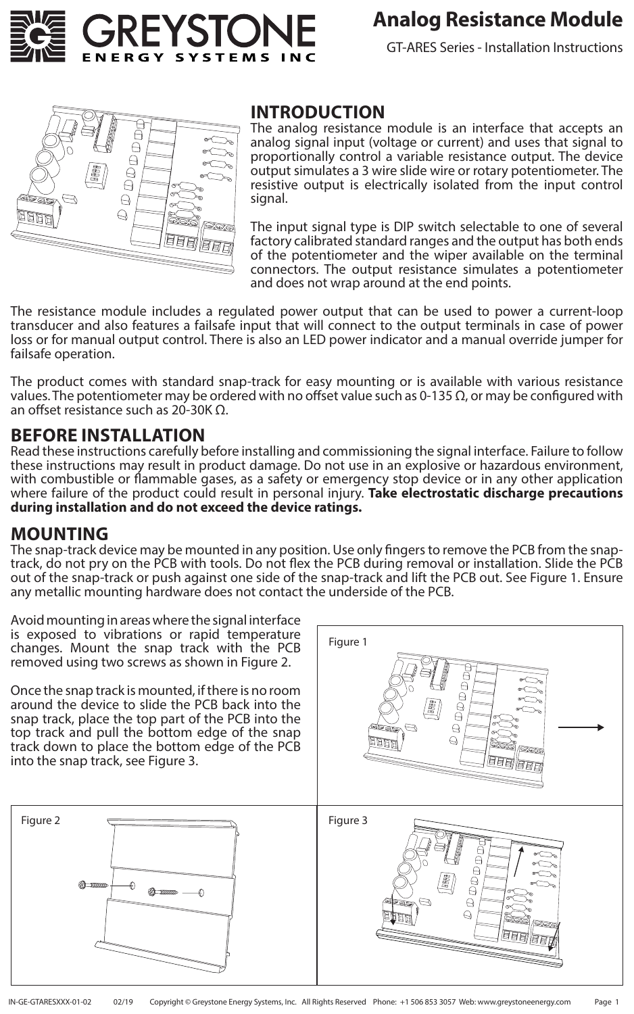

# **Analog Resistance Module**

GT-ARES Series - Installation Instructions



#### **INTRODUCTION**

The analog resistance module is an interface that accepts an analog signal input (voltage or current) and uses that signal to proportionally control a variable resistance output. The device output simulates a 3 wire slide wire or rotary potentiometer. The resistive output is electrically isolated from the input control signal.

The input signal type is DIP switch selectable to one of several factory calibrated standard ranges and the output has both ends of the potentiometer and the wiper available on the terminal connectors. The output resistance simulates a potentiometer and does not wrap around at the end points.

The resistance module includes a regulated power output that can be used to power a current-loop transducer and also features a failsafe input that will connect to the output terminals in case of power loss or for manual output control. There is also an LED power indicator and a manual override jumper for failsafe operation.

The product comes with standard snap-track for easy mounting or is available with various resistance values. The potentiometer may be ordered with no offset value such as 0-135  $\Omega$ , or may be configured with an offset resistance such as 20-30K Ω.

### **BEFORE INSTALLATION**

Read these instructions carefully before installing and commissioning the signal interface. Failure to follow these instructions may result in product damage. Do not use in an explosive or hazardous environment, with combustible or flammable gases, as a safety or emergency stop device or in any other application where failure of the product could result in personal injury. **Take electrostatic discharge precautions during installation and do not exceed the device ratings.**

### **MOUNTING**

The snap-track device may be mounted in any position. Use only fingers to remove the PCB from the snaptrack, do not pry on the PCB with tools. Do not flex the PCB during removal or installation. Slide the PCB out of the snap-track or push against one side of the snap-track and lift the PCB out. See Figure 1. Ensure any metallic mounting hardware does not contact the underside of the PCB.

Avoid mounting in areas where the signal interface is exposed to vibrations or rapid temperature changes. Mount the snap track with the PCB removed using two screws as shown in Figure 2.

Once the snap track is mounted, if there is no room around the device to slide the PCB back into the snap track, place the top part of the PCB into the top track and pull the bottom edge of the snap track down to place the bottom edge of the PCB into the snap track, see Figure 3.



 $\Theta$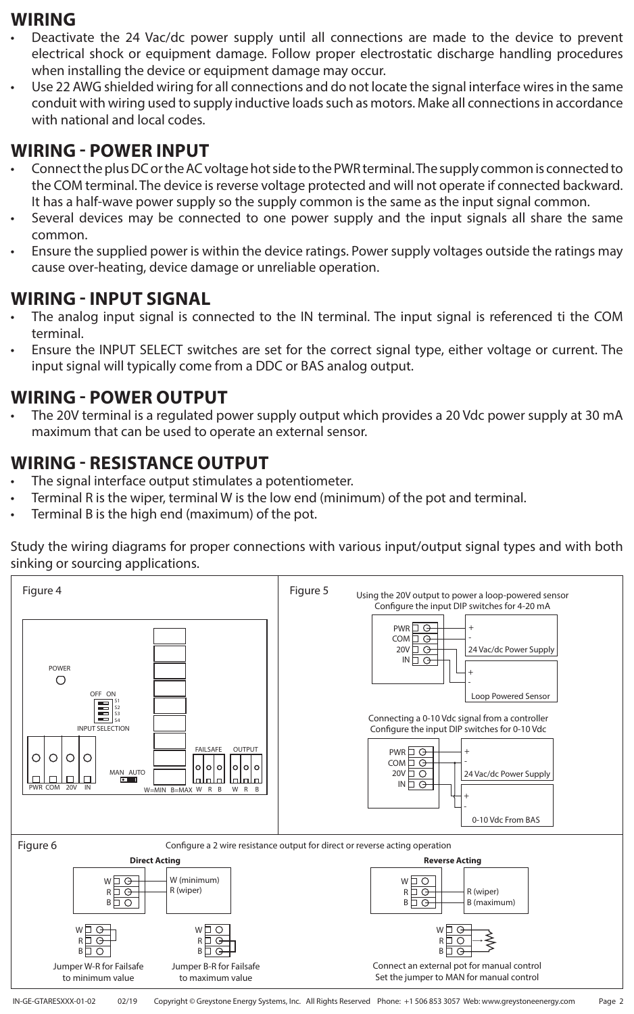### **WIRING**

- Deactivate the 24 Vac/dc power supply until all connections are made to the device to prevent electrical shock or equipment damage. Follow proper electrostatic discharge handling procedures when installing the device or equipment damage may occur.
- Use 22 AWG shielded wiring for all connections and do not locate the signal interface wires in the same conduit with wiring used to supply inductive loads such as motors. Make all connections in accordance with national and local codes.

## **WIRING - POWER INPUT**

- Connect the plus DC or the AC voltage hot side to the PWR terminal. The supply common is connected to the COM terminal. The device is reverse voltage protected and will not operate if connected backward. It has a half-wave power supply so the supply common is the same as the input signal common.
- Several devices may be connected to one power supply and the input signals all share the same common.
- Ensure the supplied power is within the device ratings. Power supply voltages outside the ratings may cause over-heating, device damage or unreliable operation.

## **WIRING - INPUT SIGNAL**

- The analog input signal is connected to the IN terminal. The input signal is referenced ti the COM terminal.
- Ensure the INPUT SELECT switches are set for the correct signal type, either voltage or current. The input signal will typically come from a DDC or BAS analog output.

## **WIRING - POWER OUTPUT**

The 20V terminal is a regulated power supply output which provides a 20 Vdc power supply at 30 mA maximum that can be used to operate an external sensor.

## **WIRING - RESISTANCE OUTPUT**

- The signal interface output stimulates a potentiometer.
- Terminal R is the wiper, terminal W is the low end (minimum) of the pot and terminal.
- Terminal B is the high end (maximum) of the pot.

Study the wiring diagrams for proper connections with various input/output signal types and with both sinking or sourcing applications.

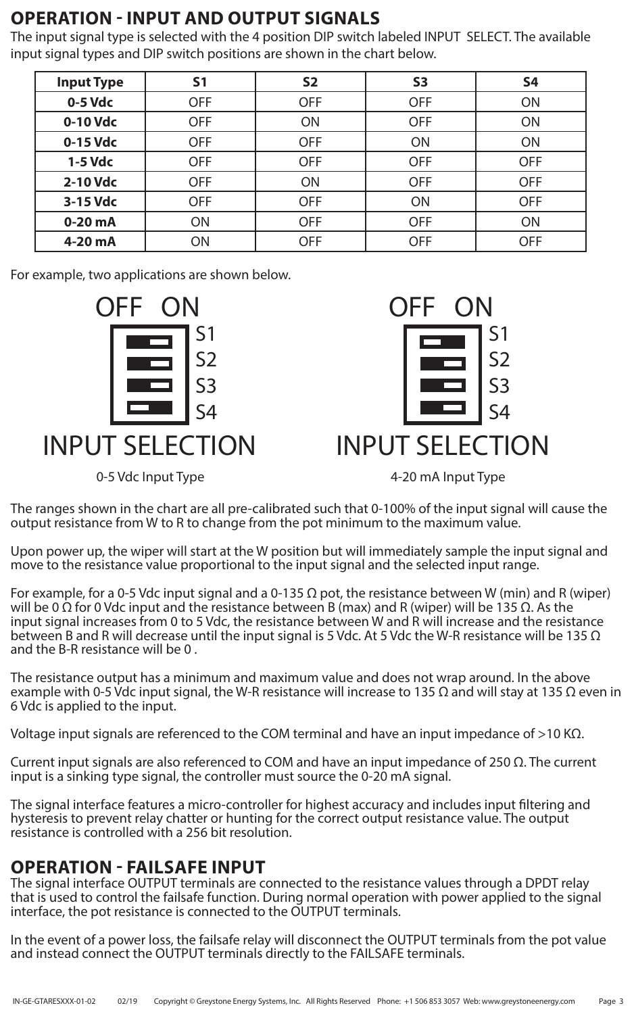# **OPERATION - INPUT AND OUTPUT SIGNALS**

The input signal type is selected with the 4 position DIP switch labeled INPUT SELECT. The available input signal types and DIP switch positions are shown in the chart below.

| <b>Input Type</b> | S <sub>1</sub> | S <sub>2</sub> | <b>S3</b>  | <b>S4</b>  |
|-------------------|----------------|----------------|------------|------------|
| 0-5 Vdc           | <b>OFF</b>     | <b>OFF</b>     | <b>OFF</b> | ON         |
| 0-10 Vdc          | <b>OFF</b>     | ON             | <b>OFF</b> | ON         |
| 0-15 Vdc          | <b>OFF</b>     | <b>OFF</b>     | ON         | ON         |
| 1-5 Vdc           | <b>OFF</b>     | <b>OFF</b>     | <b>OFF</b> | <b>OFF</b> |
| 2-10 Vdc          | <b>OFF</b>     | ON             | <b>OFF</b> | <b>OFF</b> |
| 3-15 Vdc          | <b>OFF</b>     | <b>OFF</b>     | ON         | <b>OFF</b> |
| $0-20$ mA         | ON             | <b>OFF</b>     | <b>OFF</b> | <b>ON</b>  |
| 4-20 mA           | ON             | <b>OFF</b>     | <b>OFF</b> | <b>OFF</b> |

For example, two applications are shown below.





0-5 Vdc Input Type **120 magazine 3 and 4-20 mA** Input Type

The ranges shown in the chart are all pre-calibrated such that 0-100% of the input signal will cause the output resistance from W to R to change from the pot minimum to the maximum value.

Upon power up, the wiper will start at the W position but will immediately sample the input signal and move to the resistance value proportional to the input signal and the selected input range.

For example, for a 0-5 Vdc input signal and a 0-135  $\Omega$  pot, the resistance between W (min) and R (wiper) will be 0 Ω for 0 Vdc input and the resistance between B (max) and R (wiper) will be 135 Ω. As the input signal increases from 0 to 5 Vdc, the resistance between W and R will increase and the resistance between B and R will decrease until the input signal is 5 Vdc. At 5 Vdc the W-R resistance will be 135  $\Omega$ and the B-R resistance will be 0 .

The resistance output has a minimum and maximum value and does not wrap around. In the above example with 0-5 Vdc input signal, the W-R resistance will increase to 135  $\Omega$  and will stay at 135  $\Omega$  even in 6 Vdc is applied to the input.

Voltage input signals are referenced to the COM terminal and have an input impedance of >10 K $\Omega$ .

Current input signals are also referenced to COM and have an input impedance of 250  $\Omega$ . The current input is a sinking type signal, the controller must source the 0-20 mA signal.

The signal interface features a micro-controller for highest accuracy and includes input filtering and hysteresis to prevent relay chatter or hunting for the correct output resistance value. The output resistance is controlled with a 256 bit resolution.

# **OPERATION - FAILSAFE INPUT**

The signal interface OUTPUT terminals are connected to the resistance values through a DPDT relay that is used to control the failsafe function. During normal operation with power applied to the signal interface, the pot resistance is connected to the OUTPUT terminals.

In the event of a power loss, the failsafe relay will disconnect the OUTPUT terminals from the pot value and instead connect the OUTPUT terminals directly to the FAILSAFE terminals.